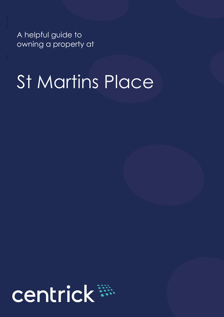A helpful guide to owning a property at

# St Martins Place

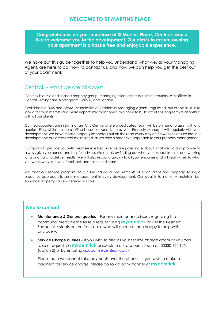## **WELCOME TO ST MARTINS PLACE**

**Congratulations on your purchase at St Martins Place, Centrick would like to welcome you to the development. Our aim is to ensure owning your apartment is a hassle free and enjoyable experience.**

We have put this guide together to help you understand what we, as your Managing Agent, are here to do, how to contact us, and how we can help you get the best out of your apartment.

### Centrick – What we are all about

Centrick is a Midlands-based property group, managing client assets across the country with offices in Central Birmingham, Nottingham, Solihull, and London.

Established in 2005 and ARMA (Association of Residential Managing Agents) regulated, our clients trust us to look after their interests and more importantly their homes. We hope to build excellent long-term relationships with all our clients.

Our headquarters are in Birmingham City Centre where a dedicated team will be on hand to assist with any queries. Plus, while the core office-based support is here, your Property Manager will regularly visit your development. We have mobile property inspectors out on the road every day of the week to ensure that our developments are always well maintained, as we take a proactive approach to your property management.

Our goal is to provide you with great service because we are passionate about what we do and promise to always give you honest and helpful advice. We do this by finding out what you expect from us and working long and hard to deliver results. We will also respond quickly to all your enquiries and will really listen to what you want, we value your feedback and take it onboard.

We tailor our service programs to suit the individual requirements of each client and property, taking a proactive approach to asset management in every development. Our goal is to not only maintain but enhance property value wherever possible.

### **Who to contact**

- **Maintenance & General queries** For any maintenance issues regarding the communal areas please raise a request using **mycentrick** or visit the Resident Support Assistants on the front desk, who will be more than happy to help with any query.
- **Service Charge queries** If you wish to discuss your service charge account you can raise a request via **mycentrick** or speak to our accounts team on 03330 124 125 (option 2) or by emailing **[accounts@centrick.co.uk.](mailto:accounts@centrick.co.uk)**

Please note we cannot take payments over the phone – if you wish to make a payment for service charge, please do so via bank transfer or **mycentrick**.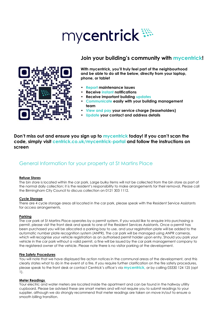# mycentrick \*\*\*





**With mycentrick, you'll truly feel part of the neighbourhood and be able to do all the below, directly from your laptop, phone, or tablet**

- **Report maintenance issues**
- **Receive instant notifications**
- **Receive important building updates**
- **Communicate easily with your building management team**
- **View and pay your service charge (leaseholders)**
- **Update your contact and address details**

**Don't miss out and ensure you sign up to mycentrick today! If you can't scan the code, simply visit centrick.co.uk/mycentrick-portal and follow the instructions on screen**

# General Information for your property at St Martins Place

### **Refuse Stores**

The bin store is located within the car park. Large bulky items will not be collected from the bin store as part of the normal daily collection; it is the resident's responsibility to make arrangements for their removal. Please call the Birmingham City Council to discuss collection on 0121 303 1112.

### **Cycle Storage**

There are 4 cycle storage areas all located in the car park, please speak with the Resident Service Assistants for access arrangements.

### **Parking**

The car park at St Martins Place operates by a permit system. If you would like to enquire into purchasing a permit, please visit the front desk and speak to one of the Resident Services Assistants. Once a permit has been purchased you will be allocated a parking bay to use, and your registration plate will be added to the automatic number plate recognition system (ANPR). The car park will be managed using ANPR cameras, which will recognise your vehicle registration as an authorised permit holder upon entry. Should you park your vehicle in the car park without a valid permit, a fine will be issued by the car park management company to the registered owner of the vehicle. Please note there is no visitor parking at the development.

### **Fire Safety Procedures**

You will note that we have displayed fire action notices in the communal areas of the development, and this clearly states what to do in the event of a fire. If you require further clarification on the fire safety procedures, please speak to the front desk or contact Centrick's office's via **mycentrick,** or by calling 03330 124 125 (opt 1).

### **Meter Readings**

Your electric and water meters are located inside the apartment and can be found in the hallway utility cupboard. Please be advised these are smart meters and will not require you to submit readings to your supplier, although we do strongly recommend that meter readings are taken on move in/out to ensure a smooth billing transition.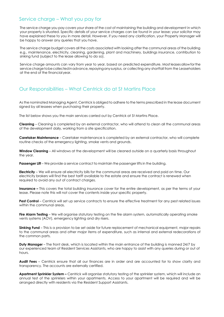## Service charge – What you pay for

The service charge you pay covers your share of the cost of maintaining the building and development in which your property is situated. Specific details of your service charges can be found in your lease; your solicitor may have explained these to you in more detail. However, if you need any clarification, your Property Manager will be happy to answer any queries that you have.

The service charge budget covers all the costs associated with looking after the communal areas of the building e.g., maintenance, electricity, cleaning, gardening, plant and machinery, buildings insurance, contribution to sinking fund (subject to the lease allowing to do so).

Service charge amounts can vary from year to year, based on predicted expenditure. Most leases allow for the service charge to be collected in advance, repaying any surplus, or collecting any shortfall from the Leaseholders at the end of the financial year.

# Our Responsibilities – What Centrick do at St Martins Place

As the nominated Managing Agent, Centrick is obliged to adhere to the terms prescribed in the lease document signed by all lessees when purchasing their property.

The list below shows you the main services carried out by Centrick at St Martins Place.

**Cleaning** – Cleaning is completed by an external contractor, who will attend to clean all the communal areas of the development daily, working from a site specification.

**Caretaker Maintenance** – Caretaker maintenance is completed by an external contractor, who will complete routine checks of the emergency lighting, smoke vents and grounds.

**Window Cleaning** – All windows at the development will be cleaned outside on a quarterly basis throughout the year.

**Passenger Lift** – We provide a service contract to maintain the passenger lifts in the building.

**Electricity** – We will ensure all electricity bills for the communal areas are received and paid on time. Our electricity brokers will find the best tariff available to the estate and ensure the contract is renewed when required to avoid any out of contract charges.

**Insurance –** This covers the total building insurance cover for the entire development, as per the terms of your lease. Please note this will not cover the contents inside your specific property.

**Pest Control** – Centrick will set up service contracts to ensure the effective treatment for any pest related issues within the communal areas.

**Fire Alarm Testing** – We will organise statutory testing on the fire alarm system, automatically operating smoke vents systems (AOV), emergency lighting and dry risers.

**Sinking Fund** – This is a provision to be set aside for future replacement of mechanical equipment, major repairs to the communal areas and other major items of expenditure, such as internal and external redecorations of the common parts.

**Duty Manager** – The front desk, which is located within the main entrance of the building is manned 24/7 by our experienced team of Resident Services Assistants, who are happy to assist with any queries during or out of hours.

**Audit Fees** – Centrick ensure that all our finances are in order and are accounted for to show clarity and transparency. The accounts are externally certified.

**Apartment Sprinkler System –** Centrick will organise statutory testing of the sprinkler system, which will include an annual test of the sprinklers within your apartments. Access to your apartment will be required and will be arranged directly with residents via the Resident Support Assistants.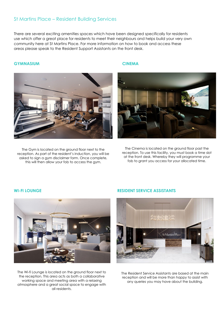### St Martins Place – Resident Building Services

There are several exciting amenities spaces which have been designed specifically for residents use which offer a great place for residents to meet their neighbours and helps build your very own community here at St Martins Place. For more information on how to book and access these areas please speak to the Resident Support Assistants on the front desk.

### **GYMNASIUM CINEMA**



The Gym is located on the ground floor next to the reception. As part of the resident's induction, you will be asked to sign a gym disclaimer form. Once complete, this will then allow your fob to access the gym.



The Cinema is located on the ground floor past the reception. To use this facility, you must book a time slot at the front desk. Whereby they will programme your fob to grant you access for your allocated time.



The Wi-fi Lounge is located on the ground floor next to the reception. This area acts as both a collaborative working space and meeting area with a relaxing atmosphere and a great social space to engage with all residents.

### **WI-FI LOUNGE RESIDENT SERVICE ASSISTANTS**



The Resident Service Assistants are based at the main reception and will be more than happy to assist with any queries you may have about the building.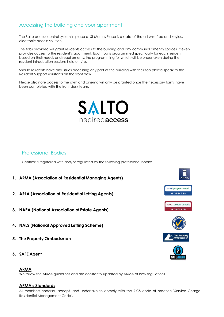# Accessing the building and your apartment

The Salto access control system in place at St Martins Place is a state-of-the-art wire-free and keyless electronic access solution.

The fobs provided will grant residents access to the building and any communal amenity spaces, it even provides access to the resident's apartment. Each fob is programmed specifically for each resident based on their needs and requirements; the programming for which will be undertaken during the resident introduction sessions held on site.

Should residents have any issues accessing any part of the building with their fob please speak to the Resident Support Assistants on the front desk.

Please also note access to the gym and cinema will only be granted once the necessary forms have been completed with the front desk team.



### Professional Bodies

Centrick is registered with and/or regulated by the following professional bodies:

- **1. ARMA (Association of Residential Managing Agents)**
- **2. ARLA (Association of ResidentialLetting Agents)**
- **3. NAEA (National Association of Estate Agents)**
- **4. NALS (National Approved Letting Scheme)**
- **5. The Property Ombudsman**
- **6. SAFE Agent**

### **ARMA**

We follow the ARMA guidelines and are constantly updated by ARMA of new regulations.

### **ARMA's Standards**

All members endorse, accept, and undertake to comply with the RICS code of practice "Service Charge Residential Management Code".